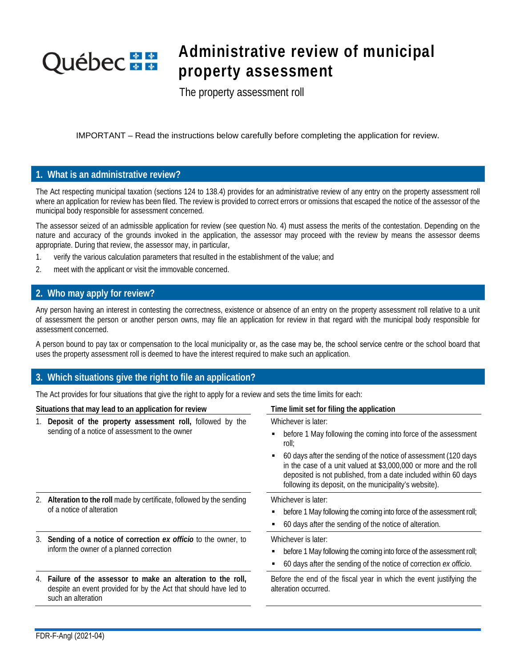# **Québec** \* \*

## **Administrative review of municipal property assessment**

The property assessment roll

IMPORTANT – Read the instructions below carefully before completing the application for review.

### **1. What is an administrative review?**

The Act respecting municipal taxation (sections 124 to 138.4) provides for an administrative review of any entry on the property assessment roll where an application for review has been filed. The review is provided to correct errors or omissions that escaped the notice of the assessor of the municipal body responsible for assessment concerned.

The assessor seized of an admissible application for review (see question No. 4) must assess the merits of the contestation. Depending on the nature and accuracy of the grounds invoked in the application, the assessor may proceed with the review by means the assessor deems appropriate. During that review, the assessor may, in particular,

- 1. verify the various calculation parameters that resulted in the establishment of the value; and
- 2. meet with the applicant or visit the immovable concerned.

### **2. Who may apply for review?**

Any person having an interest in contesting the correctness, existence or absence of an entry on the property assessment roll relative to a unit of assessment the person or another person owns, may file an application for review in that regard with the municipal body responsible for assessment concerned.

A person bound to pay tax or compensation to the local municipality or, as the case may be, the school service centre or the school board that uses the property assessment roll is deemed to have the interest required to make such an application.

### **3. Which situations give the right to file an application?**

The Act provides for four situations that give the right to apply for a review and sets the time limits for each:

| Situations that may lead to an application for review |                                                                                                                                                         | Time limit set for filing the application                                                                                                                                                                                                                                                                                                                          |  |  |  |  |
|-------------------------------------------------------|---------------------------------------------------------------------------------------------------------------------------------------------------------|--------------------------------------------------------------------------------------------------------------------------------------------------------------------------------------------------------------------------------------------------------------------------------------------------------------------------------------------------------------------|--|--|--|--|
|                                                       | 1. Deposit of the property assessment roll, followed by the<br>sending of a notice of assessment to the owner                                           | Whichever is later:<br>before 1 May following the coming into force of the assessment<br>roll;<br>60 days after the sending of the notice of assessment (120 days<br>in the case of a unit valued at \$3,000,000 or more and the roll<br>deposited is not published, from a date included within 60 days<br>following its deposit, on the municipality's website). |  |  |  |  |
|                                                       | 2. Alteration to the roll made by certificate, followed by the sending<br>of a notice of alteration                                                     | Whichever is later:<br>before 1 May following the coming into force of the assessment roll;<br>60 days after the sending of the notice of alteration.                                                                                                                                                                                                              |  |  |  |  |
|                                                       | 3. Sending of a notice of correction ex officio to the owner, to<br>inform the owner of a planned correction                                            | Whichever is later:<br>before 1 May following the coming into force of the assessment roll;<br>60 days after the sending of the notice of correction ex officio.                                                                                                                                                                                                   |  |  |  |  |
|                                                       | 4. Failure of the assessor to make an alteration to the roll,<br>despite an event provided for by the Act that should have led to<br>such an alteration | Before the end of the fiscal year in which the event justifying the<br>alteration occurred.                                                                                                                                                                                                                                                                        |  |  |  |  |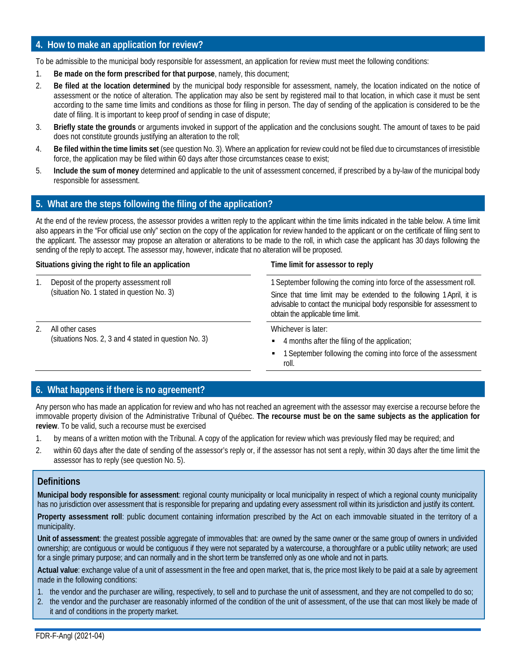### **4. How to make an application for review?**

To be admissible to the municipal body responsible for assessment, an application for review must meet the following conditions:

- 1. **Be made on the form prescribed for that purpose**, namely, this document;
- 2. **Be filed at the location determined** by the municipal body responsible for assessment, namely, the location indicated on the notice of assessment or the notice of alteration. The application may also be sent by registered mail to that location, in which case it must be sent according to the same time limits and conditions as those for filing in person. The day of sending of the application is considered to be the date of filing. It is important to keep proof of sending in case of dispute;
- 3. **Briefly state the grounds** or arguments invoked in support of the application and the conclusions sought. The amount of taxes to be paid does not constitute grounds justifying an alteration to the roll;
- 4. **Be filed within the time limits set** (see question No. 3). Where an application for review could not be filed due to circumstances of irresistible force, the application may be filed within 60 days after those circumstances cease to exist;
- 5. **Include the sum of money** determined and applicable to the unit of assessment concerned, if prescribed by a by-law of the municipal body responsible for assessment.

### **5. What are the steps following the filing of the application?**

At the end of the review process, the assessor provides a written reply to the applicant within the time limits indicated in the table below. A time limit also appears in the "For official use only" section on the copy of the application for review handed to the applicant or on the certificate of filing sent to the applicant. The assessor may propose an alteration or alterations to be made to the roll, in which case the applicant has 30 days following the sending of the reply to accept. The assessor may, however, indicate that no alteration will be proposed.

### **Situations giving the right to file an application Time limit for assessor to reply**

- 1. Deposit of the property assessment roll (situation No. 1 stated in question No. 3)
- 2. All other cases (situations Nos. 2, 3 and 4 stated in question No. 3)

1 September following the coming into force of the assessment roll. Since that time limit may be extended to the following 1April, it is advisable to contact the municipal body responsible for assessment to obtain the applicable time limit.

Whichever is later:

- 4 months after the filing of the application;
- 1 September following the coming into force of the assessment roll.

### **6. What happens if there is no agreement?**

Any person who has made an application for review and who has not reached an agreement with the assessor may exercise a recourse before the immovable property division of the Administrative Tribunal of Québec. **The recourse must be on the same subjects as the application for review**. To be valid, such a recourse must be exercised

- 1. by means of a written motion with the Tribunal. A copy of the application for review which was previously filed may be required; and
- 2. within 60 days after the date of sending of the assessor's reply or, if the assessor has not sent a reply, within 30 days after the time limit the assessor has to reply (see question No. 5).

### **Definitions**

**Municipal body responsible for assessment**: regional county municipality or local municipality in respect of which a regional county municipality has no jurisdiction over assessment that is responsible for preparing and updating every assessment roll within its jurisdiction and justify its content.

**Property assessment roll**: public document containing information prescribed by the Act on each immovable situated in the territory of a municipality.

**Unit of assessment**: the greatest possible aggregate of immovables that: are owned by the same owner or the same group of owners in undivided ownership; are contiguous or would be contiguous if they were not separated by a watercourse, a thoroughfare or a public utility network; are used for a single primary purpose; and can normally and in the short term be transferred only as one whole and not in parts.

**Actual value**: exchange value of a unit of assessment in the free and open market, that is, the price most likely to be paid at a sale by agreement made in the following conditions:

- 1. the vendor and the purchaser are willing, respectively, to sell and to purchase the unit of assessment, and they are not compelled to do so;
- 2. the vendor and the purchaser are reasonably informed of the condition of the unit of assessment, of the use that can most likely be made of it and of conditions in the property market.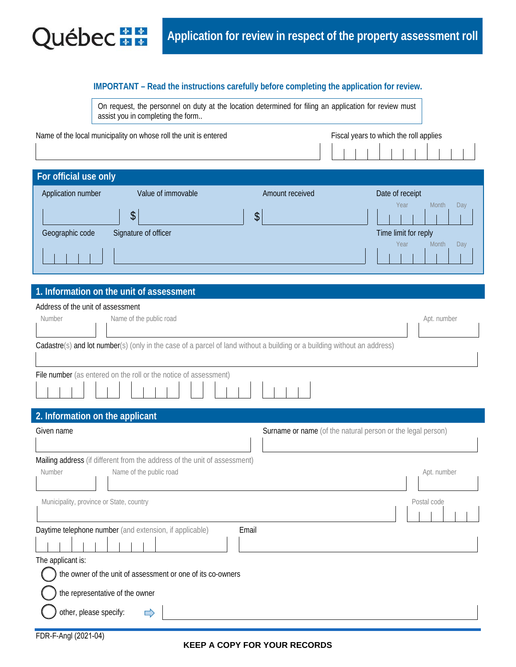

### **IMPORTANT – Read the instructions carefully before completing the application for review.**

|                                   | On request, the personnel on duty at the location determined for filing an application for review must |  |
|-----------------------------------|--------------------------------------------------------------------------------------------------------|--|
| assist you in completing the form |                                                                                                        |  |

| Name of the local municipality on whose roll the unit is entered |                      |                 | Fiscal years to which the roll applies |  |  |  |  |
|------------------------------------------------------------------|----------------------|-----------------|----------------------------------------|--|--|--|--|
|                                                                  |                      |                 |                                        |  |  |  |  |
| For official use only                                            |                      |                 |                                        |  |  |  |  |
| Application number                                               | Value of immovable   | Amount received | Date of receipt                        |  |  |  |  |
|                                                                  | \$                   | \$              | Year<br>Month<br>Day                   |  |  |  |  |
| Geographic code                                                  | Signature of officer |                 | Time limit for reply                   |  |  |  |  |
|                                                                  |                      |                 | Month<br>Year<br>Day                   |  |  |  |  |

### **1. Information on the unit of assessment**

| Address of the unit of assessment                                                                                        |             |
|--------------------------------------------------------------------------------------------------------------------------|-------------|
| Name of the public road<br>Number                                                                                        | Apt. number |
|                                                                                                                          |             |
| Cadastre(s) and lot number(s) (only in the case of a parcel of land without a building or a building without an address) |             |
|                                                                                                                          |             |
| File number (as entered on the roll or the notice of assessment)                                                         |             |
|                                                                                                                          |             |
| 2. Information on the applicant                                                                                          |             |
| Given name<br>Surname or name (of the natural person or the legal person)                                                |             |
|                                                                                                                          |             |
| Mailing address (if different from the address of the unit of assessment)                                                |             |
| Name of the public road<br>Number                                                                                        | Apt. number |
|                                                                                                                          |             |
| Municipality, province or State, country                                                                                 | Postal code |
|                                                                                                                          |             |
| Daytime telephone number (and extension, if applicable)<br>Email                                                         |             |
|                                                                                                                          |             |
| The applicant is:                                                                                                        |             |
| the owner of the unit of assessment or one of its co-owners                                                              |             |
| the representative of the owner                                                                                          |             |
|                                                                                                                          |             |
| other, please specify:                                                                                                   |             |
| FDR-F-Angl (2021-04)                                                                                                     |             |